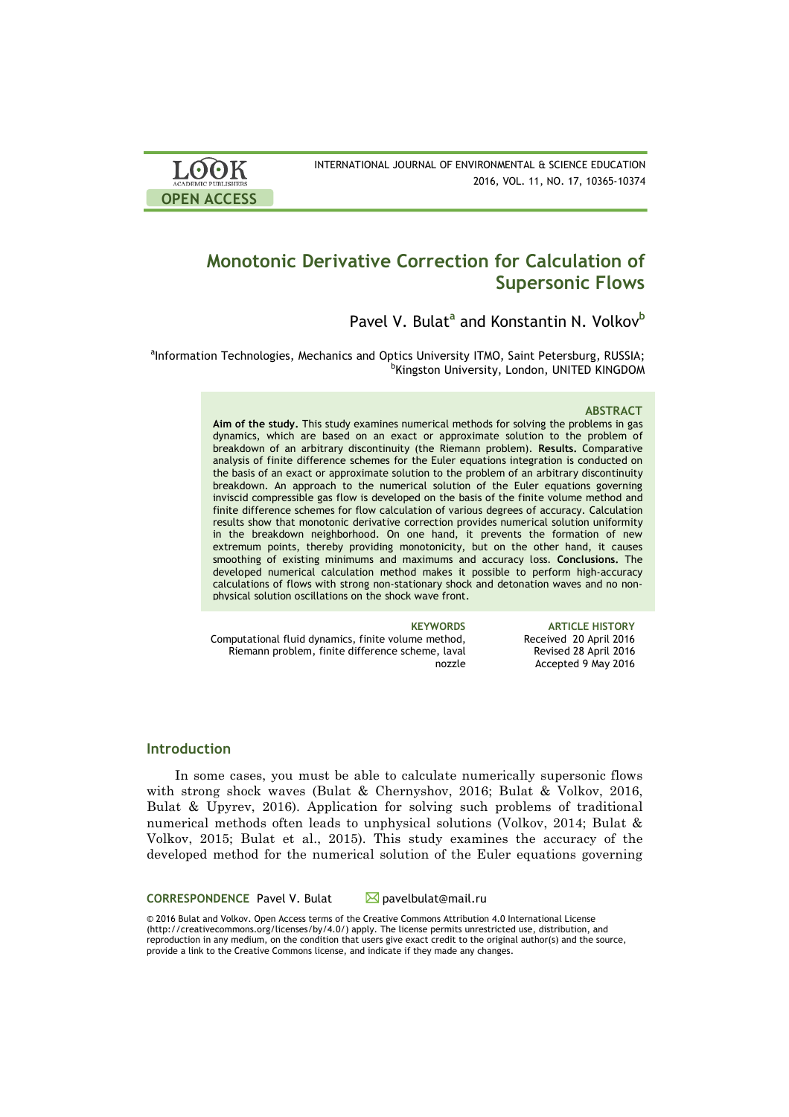

# **Monotonic Derivative Correction for Calculation of Supersonic Flows**

Pavel V. Bulat<sup>a</sup> and Konstantin N. Volkov<sup>b</sup>

anformation Technologies, Mechanics and Optics University ITMO, Saint Petersburg, RUSSIA;<br>prinction University London, UNITED KINGDOM **<sup>b</sup>Kingston University, London, UNITED KINGDOM** 

#### **ABSTRACT**

**Aim of the study.** This study examines numerical methods for solving the problems in gas dynamics, which are based on an exact or approximate solution to the problem of breakdown of an arbitrary discontinuity (the Riemann problem). **Results.** Comparative analysis of finite difference schemes for the Euler equations integration is conducted on the basis of an exact or approximate solution to the problem of an arbitrary discontinuity breakdown. An approach to the numerical solution of the Euler equations governing inviscid compressible gas flow is developed on the basis of the finite volume method and finite difference schemes for flow calculation of various degrees of accuracy. Calculation results show that monotonic derivative correction provides numerical solution uniformity in the breakdown neighborhood. On one hand, it prevents the formation of new extremum points, thereby providing monotonicity, but on the other hand, it causes smoothing of existing minimums and maximums and accuracy loss. **Conclusions.** The developed numerical calculation method makes it possible to perform high-accuracy calculations of flows with strong non-stationary shock and detonation waves and no nonphysical solution oscillations on the shock wave front.

Computational fluid dynamics, finite volume method, Riemann problem, finite difference scheme, laval nozzle

**KEYWORDS ARTICLE HISTORY** Received 20 April 2016 Revised 28 April 2016 Accepted 9 May 2016

## **Introduction**

In some cases, you must be able to calculate numerically supersonic flows with strong shock waves (Bulat & Chernyshov, 2016; Bulat & Volkov, 2016, Bulat & Upyrev, 2016). Application for solving such problems of traditional numerical methods often leads to unphysical solutions (Volkov, 2014; Bulat & Volkov, 2015; Bulat et al., 2015). This study examines the accuracy of the developed method for the numerical solution of the Euler equations governing

**CORRESPONDENCE** Pavel V. Bulat Mavelbulat@mail.ru

© 2016 Bulat and Volkov. Open Access terms of the Creative Commons Attribution 4.0 International License (http://creativecommons.org/licenses/by/4.0/) apply. The license permits unrestricted use, distribution, and reproduction in any medium, on the condition that users give exact credit to the original author(s) and the source, provide a link to the Creative Commons license, and indicate if they made any changes.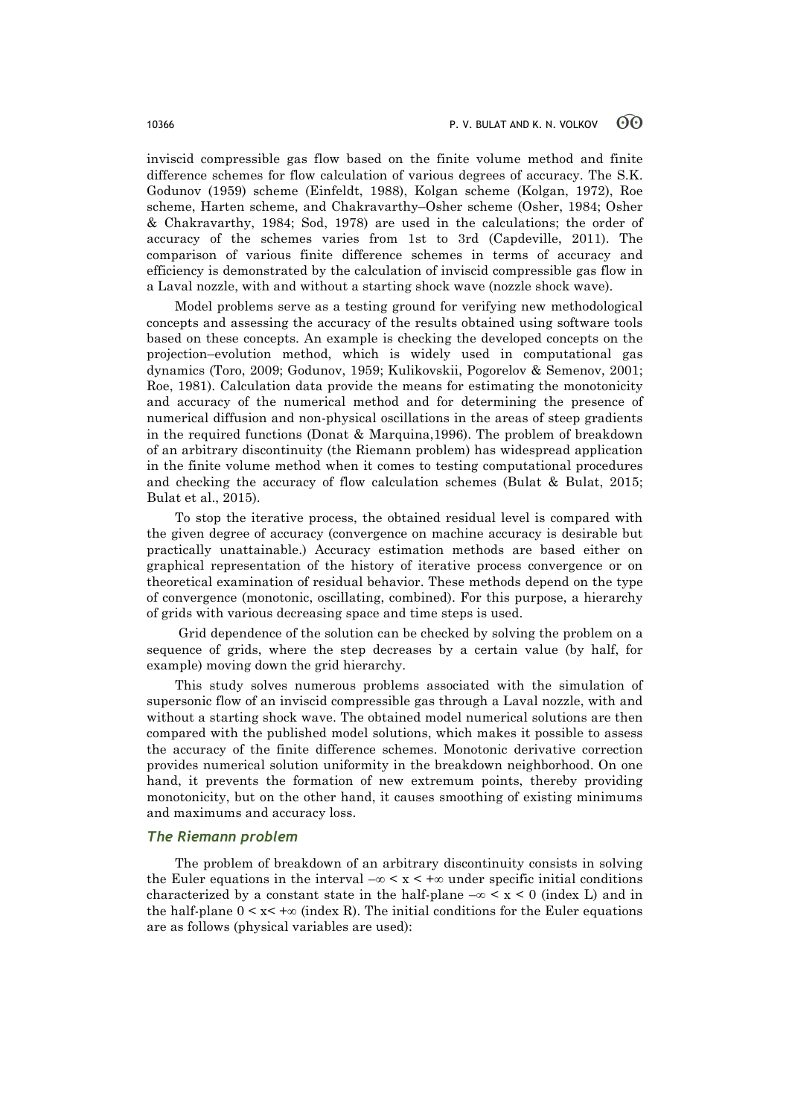inviscid compressible gas flow based on the finite volume method and finite difference schemes for flow calculation of various degrees of accuracy. The S.K. Godunov (1959) scheme (Einfeldt, 1988), Kolgan scheme (Kolgan, 1972), Roe scheme, Harten scheme, and Chakravarthy–Osher scheme (Osher, 1984; Osher & Chakravarthy, 1984; Sod, 1978) are used in the calculations; the order of accuracy of the schemes varies from 1st to 3rd (Capdeville, 2011). The comparison of various finite difference schemes in terms of accuracy and efficiency is demonstrated by the calculation of inviscid compressible gas flow in a Laval nozzle, with and without a starting shock wave (nozzle shock wave).

Model problems serve as a testing ground for verifying new methodological concepts and assessing the accuracy of the results obtained using software tools based on these concepts. An example is checking the developed concepts on the projection–evolution method, which is widely used in computational gas dynamics (Toro, 2009; Godunov, 1959; Kulikovskii, Pogorelov & Semenov, 2001; Roe, 1981). Calculation data provide the means for estimating the monotonicity and accuracy of the numerical method and for determining the presence of numerical diffusion and non-physical oscillations in the areas of steep gradients in the required functions (Donat & Marquina,1996). The problem of breakdown of an arbitrary discontinuity (the Riemann problem) has widespread application in the finite volume method when it comes to testing computational procedures and checking the accuracy of flow calculation schemes (Bulat & Bulat, 2015; Bulat et al., 2015).

To stop the iterative process, the obtained residual level is compared with the given degree of accuracy (convergence on machine accuracy is desirable but practically unattainable.) Accuracy estimation methods are based either on graphical representation of the history of iterative process convergence or on theoretical examination of residual behavior. These methods depend on the type of convergence (monotonic, oscillating, combined). For this purpose, a hierarchy of grids with various decreasing space and time steps is used.

Grid dependence of the solution can be checked by solving the problem on a sequence of grids, where the step decreases by a certain value (by half, for example) moving down the grid hierarchy.

This study solves numerous problems associated with the simulation of supersonic flow of an inviscid compressible gas through a Laval nozzle, with and without a starting shock wave. The obtained model numerical solutions are then compared with the published model solutions, which makes it possible to assess the accuracy of the finite difference schemes. Monotonic derivative correction provides numerical solution uniformity in the breakdown neighborhood. On one hand, it prevents the formation of new extremum points, thereby providing monotonicity, but on the other hand, it causes smoothing of existing minimums and maximums and accuracy loss.

#### *The Riemann problem*

The problem of breakdown of an arbitrary discontinuity consists in solving the Euler equations in the interval  $-\infty < x < +\infty$  under specific initial conditions characterized by a constant state in the half-plane  $-\infty < x < 0$  (index L) and in the half-plane  $0 \le x \le \infty$  (index R). The initial conditions for the Euler equations are as follows (physical variables are used):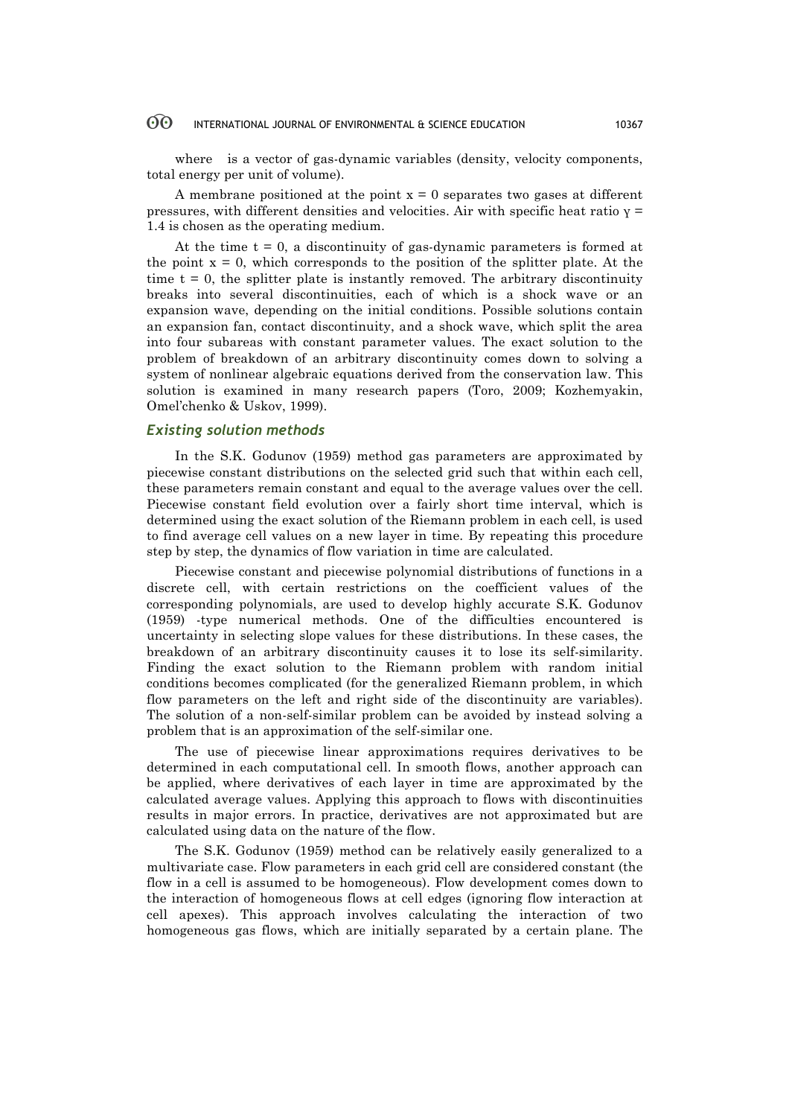#### $\odot$ INTERNATIONAL JOURNAL OF ENVIRONMENTAL & SCIENCE EDUCATION 10367

where is a vector of gas-dynamic variables (density, velocity components, total energy per unit of volume).

A membrane positioned at the point  $x = 0$  separates two gases at different pressures, with different densities and velocities. Air with specific heat ratio  $\gamma$  = 1.4 is chosen as the operating medium.

At the time  $t = 0$ , a discontinuity of gas-dynamic parameters is formed at the point  $x = 0$ , which corresponds to the position of the splitter plate. At the time  $t = 0$ , the splitter plate is instantly removed. The arbitrary discontinuity breaks into several discontinuities, each of which is a shock wave or an expansion wave, depending on the initial conditions. Possible solutions contain an expansion fan, contact discontinuity, and a shock wave, which split the area into four subareas with constant parameter values. The exact solution to the problem of breakdown of an arbitrary discontinuity comes down to solving a system of nonlinear algebraic equations derived from the conservation law. This solution is examined in many research papers (Toro, 2009; Kozhemyakin, Omel'chenko & Uskov, 1999).

# *Existing solution methods*

In the S.K. Godunov (1959) method gas parameters are approximated by piecewise constant distributions on the selected grid such that within each cell, these parameters remain constant and equal to the average values over the cell. Piecewise constant field evolution over a fairly short time interval, which is determined using the exact solution of the Riemann problem in each cell, is used to find average cell values on a new layer in time. By repeating this procedure step by step, the dynamics of flow variation in time are calculated.

Piecewise constant and piecewise polynomial distributions of functions in a discrete cell, with certain restrictions on the coefficient values of the corresponding polynomials, are used to develop highly accurate S.K. Godunov (1959) -type numerical methods. One of the difficulties encountered is uncertainty in selecting slope values for these distributions. In these cases, the breakdown of an arbitrary discontinuity causes it to lose its self-similarity. Finding the exact solution to the Riemann problem with random initial conditions becomes complicated (for the generalized Riemann problem, in which flow parameters on the left and right side of the discontinuity are variables). The solution of a non-self-similar problem can be avoided by instead solving a problem that is an approximation of the self-similar one.

The use of piecewise linear approximations requires derivatives to be determined in each computational cell. In smooth flows, another approach can be applied, where derivatives of each layer in time are approximated by the calculated average values. Applying this approach to flows with discontinuities results in major errors. In practice, derivatives are not approximated but are calculated using data on the nature of the flow.

The S.K. Godunov (1959) method can be relatively easily generalized to a multivariate case. Flow parameters in each grid cell are considered constant (the flow in a cell is assumed to be homogeneous). Flow development comes down to the interaction of homogeneous flows at cell edges (ignoring flow interaction at cell apexes). This approach involves calculating the interaction of two homogeneous gas flows, which are initially separated by a certain plane. The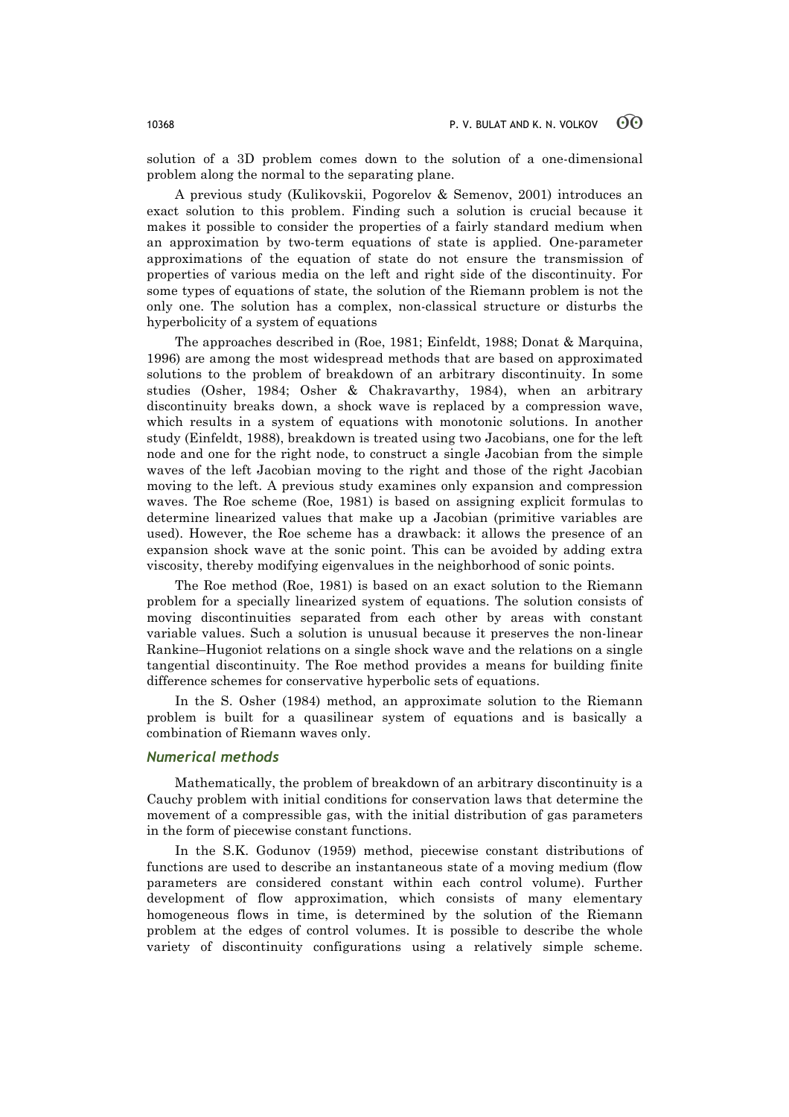solution of a 3D problem comes down to the solution of a one-dimensional problem along the normal to the separating plane.

A previous study (Kulikovskii, Pogorelov & Semenov, 2001) introduces an exact solution to this problem. Finding such a solution is crucial because it makes it possible to consider the properties of a fairly standard medium when an approximation by two-term equations of state is applied. One-parameter approximations of the equation of state do not ensure the transmission of properties of various media on the left and right side of the discontinuity. For some types of equations of state, the solution of the Riemann problem is not the only one. The solution has a complex, non-classical structure or disturbs the hyperbolicity of a system of equations

The approaches described in (Roe, 1981; Einfeldt, 1988; Donat & Marquina, 1996) are among the most widespread methods that are based on approximated solutions to the problem of breakdown of an arbitrary discontinuity. In some studies (Osher, 1984; Osher & Chakravarthy, 1984), when an arbitrary discontinuity breaks down, a shock wave is replaced by a compression wave, which results in a system of equations with monotonic solutions. In another study (Einfeldt, 1988), breakdown is treated using two Jacobians, one for the left node and one for the right node, to construct a single Jacobian from the simple waves of the left Jacobian moving to the right and those of the right Jacobian moving to the left. A previous study examines only expansion and compression waves. The Roe scheme (Roe, 1981) is based on assigning explicit formulas to determine linearized values that make up a Jacobian (primitive variables are used). However, the Roe scheme has a drawback: it allows the presence of an expansion shock wave at the sonic point. This can be avoided by adding extra viscosity, thereby modifying eigenvalues in the neighborhood of sonic points.

The Roe method (Roe, 1981) is based on an exact solution to the Riemann problem for a specially linearized system of equations. The solution consists of moving discontinuities separated from each other by areas with constant variable values. Such a solution is unusual because it preserves the non-linear Rankine–Hugoniot relations on a single shock wave and the relations on a single tangential discontinuity. The Roe method provides a means for building finite difference schemes for conservative hyperbolic sets of equations.

In the S. Osher (1984) method, an approximate solution to the Riemann problem is built for a quasilinear system of equations and is basically a combination of Riemann waves only.

#### *Numerical methods*

Mathematically, the problem of breakdown of an arbitrary discontinuity is a Cauchy problem with initial conditions for conservation laws that determine the movement of a compressible gas, with the initial distribution of gas parameters in the form of piecewise constant functions.

In the S.K. Godunov (1959) method, piecewise constant distributions of functions are used to describe an instantaneous state of a moving medium (flow parameters are considered constant within each control volume). Further development of flow approximation, which consists of many elementary homogeneous flows in time, is determined by the solution of the Riemann problem at the edges of control volumes. It is possible to describe the whole variety of discontinuity configurations using a relatively simple scheme.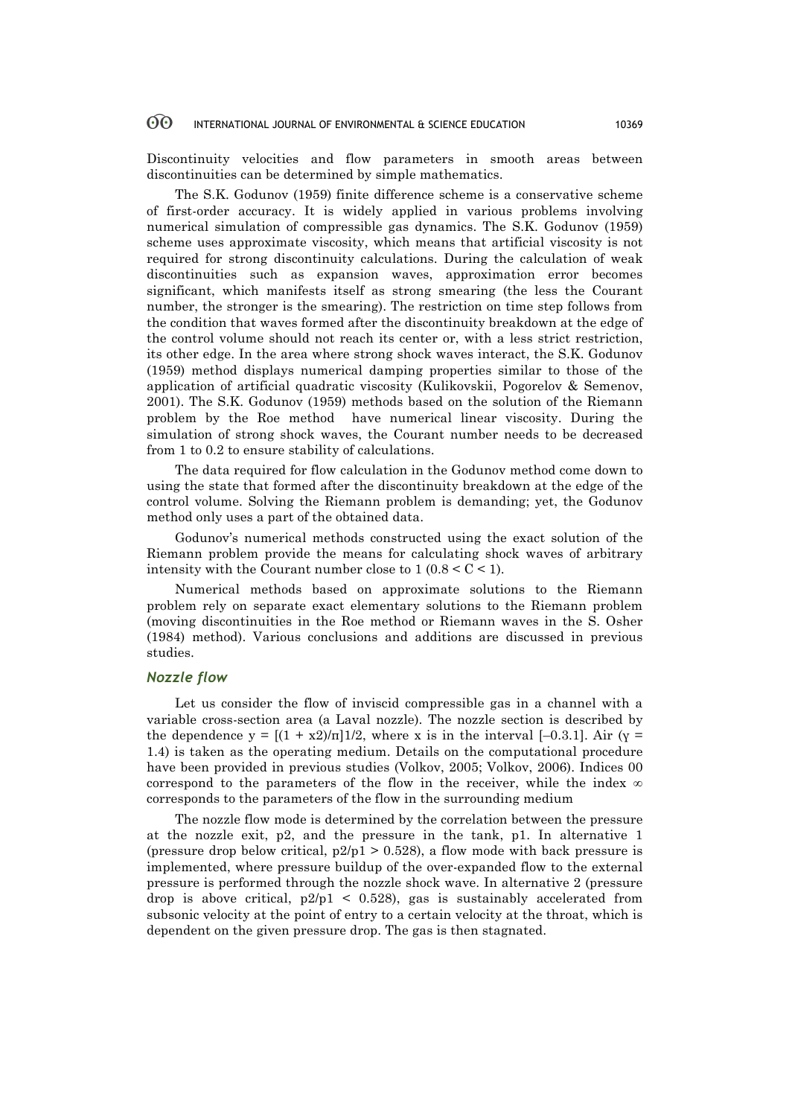#### 60 INTERNATIONAL JOURNAL OF ENVIRONMENTAL & SCIENCE EDUCATION 10369

Discontinuity velocities and flow parameters in smooth areas between discontinuities can be determined by simple mathematics.

The S.K. Godunov (1959) finite difference scheme is a conservative scheme of first-order accuracy. It is widely applied in various problems involving numerical simulation of compressible gas dynamics. The S.K. Godunov (1959) scheme uses approximate viscosity, which means that artificial viscosity is not required for strong discontinuity calculations. During the calculation of weak discontinuities such as expansion waves, approximation error becomes significant, which manifests itself as strong smearing (the less the Courant number, the stronger is the smearing). The restriction on time step follows from the condition that waves formed after the discontinuity breakdown at the edge of the control volume should not reach its center or, with a less strict restriction, its other edge. In the area where strong shock waves interact, the S.K. Godunov (1959) method displays numerical damping properties similar to those of the application of artificial quadratic viscosity (Kulikovskii, Pogorelov & Semenov, 2001). The S.K. Godunov (1959) methods based on the solution of the Riemann problem by the Roe method have numerical linear viscosity. During the simulation of strong shock waves, the Courant number needs to be decreased from 1 to 0.2 to ensure stability of calculations.

The data required for flow calculation in the Godunov method come down to using the state that formed after the discontinuity breakdown at the edge of the control volume. Solving the Riemann problem is demanding; yet, the Godunov method only uses a part of the obtained data.

Godunov's numerical methods constructed using the exact solution of the Riemann problem provide the means for calculating shock waves of arbitrary intensity with the Courant number close to  $1 (0.8 < C < 1)$ .

Numerical methods based on approximate solutions to the Riemann problem rely on separate exact elementary solutions to the Riemann problem (moving discontinuities in the Roe method or Riemann waves in the S. Osher (1984) method). Various conclusions and additions are discussed in previous studies.

### *Nozzle flow*

Let us consider the flow of inviscid compressible gas in a channel with a variable cross-section area (a Laval nozzle). The nozzle section is described by the dependence  $y = [(1 + x2)/\pi] \cdot 1/2$ , where x is in the interval [–0.3.1]. Air ( $y =$ 1.4) is taken as the operating medium. Details on the computational procedure have been provided in previous studies (Volkov, 2005; Volkov, 2006). Indices 00 correspond to the parameters of the flow in the receiver, while the index  $\infty$ corresponds to the parameters of the flow in the surrounding medium

The nozzle flow mode is determined by the correlation between the pressure at the nozzle exit, p2, and the pressure in the tank, p1. In alternative 1 (pressure drop below critical,  $p2/p1 > 0.528$ ), a flow mode with back pressure is implemented, where pressure buildup of the over-expanded flow to the external pressure is performed through the nozzle shock wave. In alternative 2 (pressure drop is above critical,  $p2/p1 \le 0.528$ , gas is sustainably accelerated from subsonic velocity at the point of entry to a certain velocity at the throat, which is dependent on the given pressure drop. The gas is then stagnated.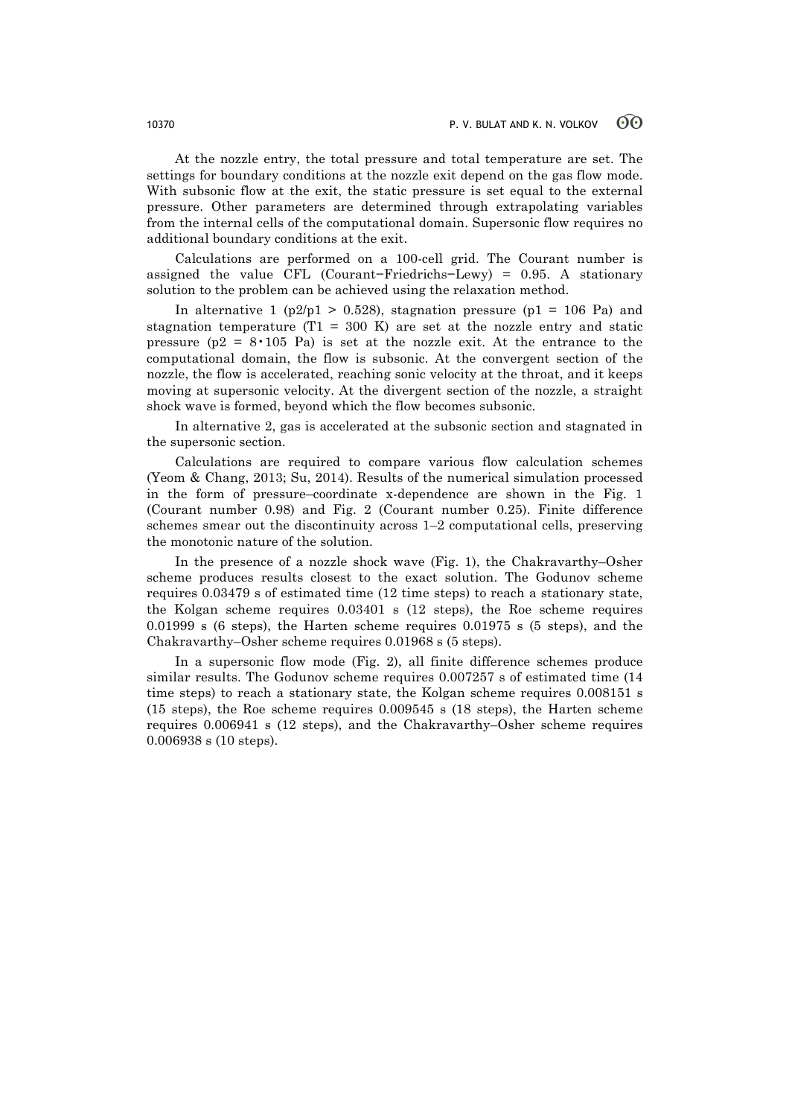At the nozzle entry, the total pressure and total temperature are set. The settings for boundary conditions at the nozzle exit depend on the gas flow mode. With subsonic flow at the exit, the static pressure is set equal to the external pressure. Other parameters are determined through extrapolating variables from the internal cells of the computational domain. Supersonic flow requires no additional boundary conditions at the exit.

Calculations are performed on a 100-cell grid. The Courant number is assigned the value CFL (Courant−Friedrichs−Lewy) = 0.95. A stationary solution to the problem can be achieved using the relaxation method.

In alternative 1 (p2/p1 > 0.528), stagnation pressure (p1 = 106 Pa) and stagnation temperature (T1 = 300 K) are set at the nozzle entry and static pressure  $(p2 = 8 \cdot 105)$  Pa) is set at the nozzle exit. At the entrance to the computational domain, the flow is subsonic. At the convergent section of the nozzle, the flow is accelerated, reaching sonic velocity at the throat, and it keeps moving at supersonic velocity. At the divergent section of the nozzle, a straight shock wave is formed, beyond which the flow becomes subsonic.

In alternative 2, gas is accelerated at the subsonic section and stagnated in the supersonic section.

Calculations are required to compare various flow calculation schemes (Yeom & Chang, 2013; Su, 2014). Results of the numerical simulation processed in the form of pressure–coordinate x-dependence are shown in the Fig. 1 (Courant number 0.98) and Fig. 2 (Courant number 0.25). Finite difference schemes smear out the discontinuity across 1–2 computational cells, preserving the monotonic nature of the solution.

In the presence of a nozzle shock wave (Fig. 1), the Chakravarthy–Osher scheme produces results closest to the exact solution. The Godunov scheme requires 0.03479 s of estimated time (12 time steps) to reach a stationary state, the Kolgan scheme requires 0.03401 s (12 steps), the Roe scheme requires 0.01999 s (6 steps), the Harten scheme requires  $0.01975$  s (5 steps), and the Chakravarthy–Osher scheme requires 0.01968 s (5 steps).

In a supersonic flow mode (Fig. 2), all finite difference schemes produce similar results. The Godunov scheme requires 0.007257 s of estimated time (14 time steps) to reach a stationary state, the Kolgan scheme requires 0.008151 s (15 steps), the Roe scheme requires 0.009545 s (18 steps), the Harten scheme requires 0.006941 s (12 steps), and the Chakravarthy–Osher scheme requires 0.006938 s (10 steps).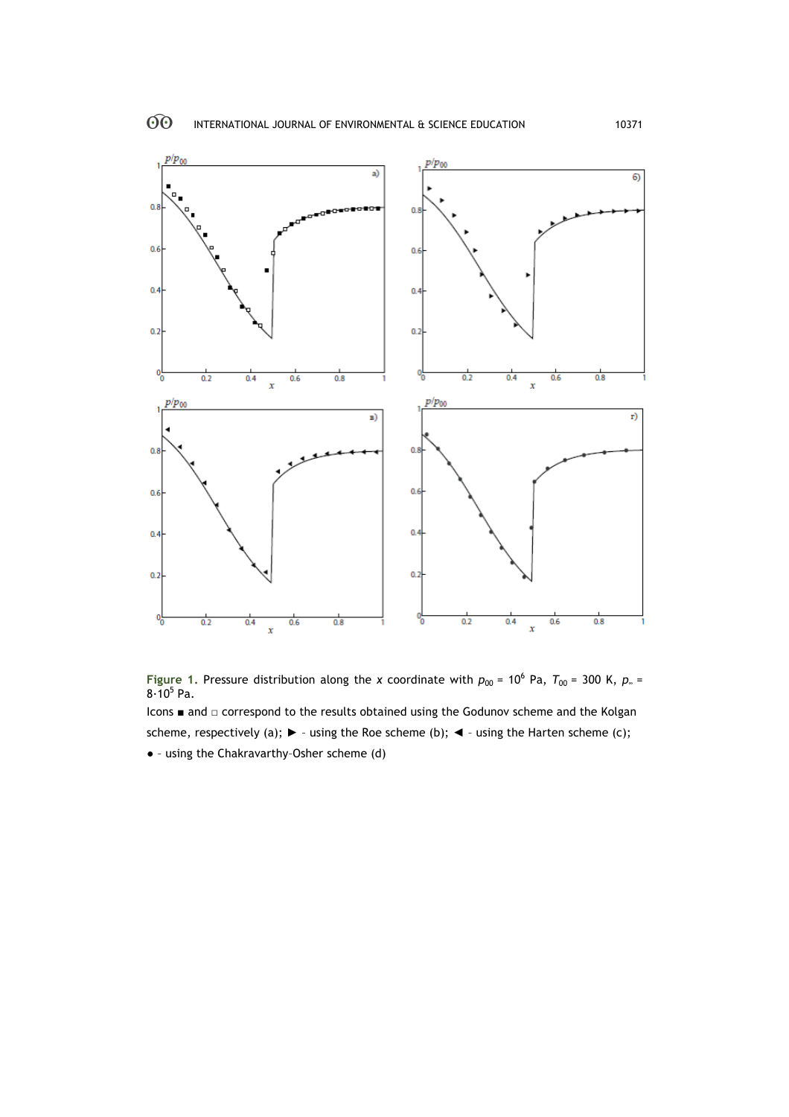



Icons ■ and □ correspond to the results obtained using the Godunov scheme and the Kolgan scheme, respectively (a);  $\triangleright$  - using the Roe scheme (b);  $\blacktriangleleft$  - using the Harten scheme (c); ● – using the Chakravarthy–Osher scheme (d)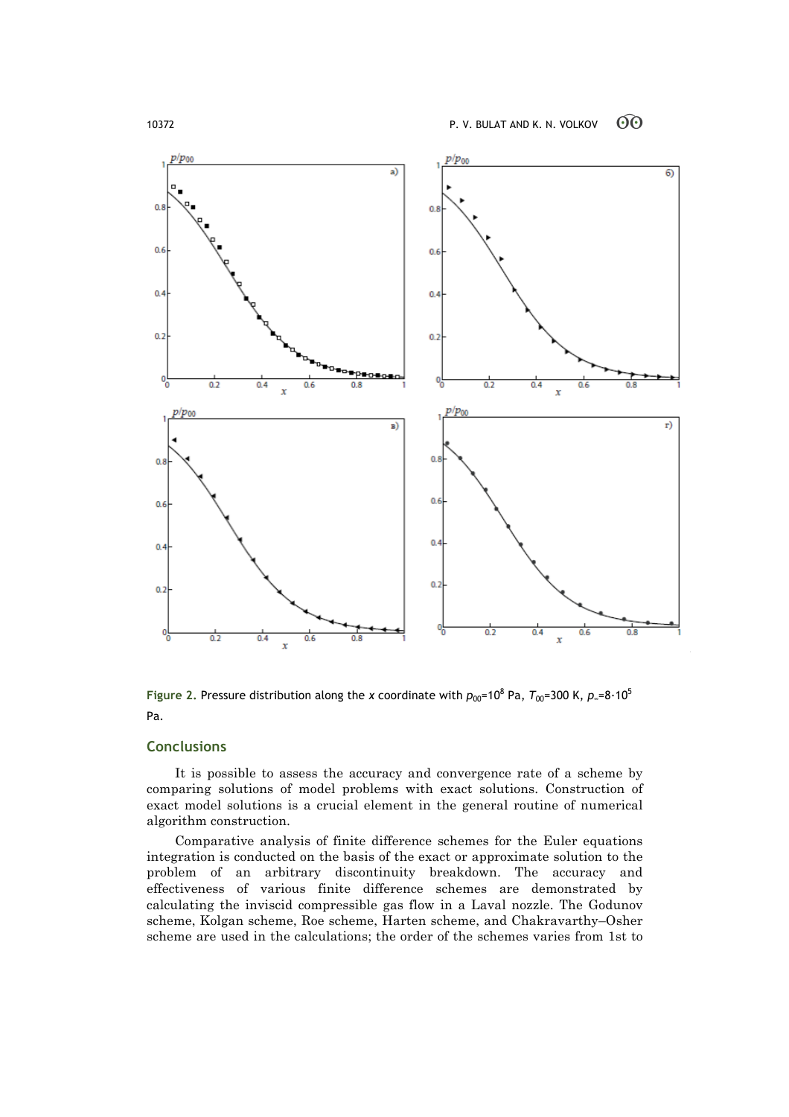

**Figure** 2. Pressure distribution along the *x* coordinate with  $p_{00}=10^8$  Pa,  $T_{00}=300$  K,  $p_{\infty}=8.10^5$ Pa.

# **Conclusions**

It is possible to assess the accuracy and convergence rate of a scheme by comparing solutions of model problems with exact solutions. Construction of exact model solutions is a crucial element in the general routine of numerical algorithm construction.

Comparative analysis of finite difference schemes for the Euler equations integration is conducted on the basis of the exact or approximate solution to the problem of an arbitrary discontinuity breakdown. The accuracy and effectiveness of various finite difference schemes are demonstrated by calculating the inviscid compressible gas flow in a Laval nozzle. The Godunov scheme, Kolgan scheme, Roe scheme, Harten scheme, and Chakravarthy–Osher scheme are used in the calculations; the order of the schemes varies from 1st to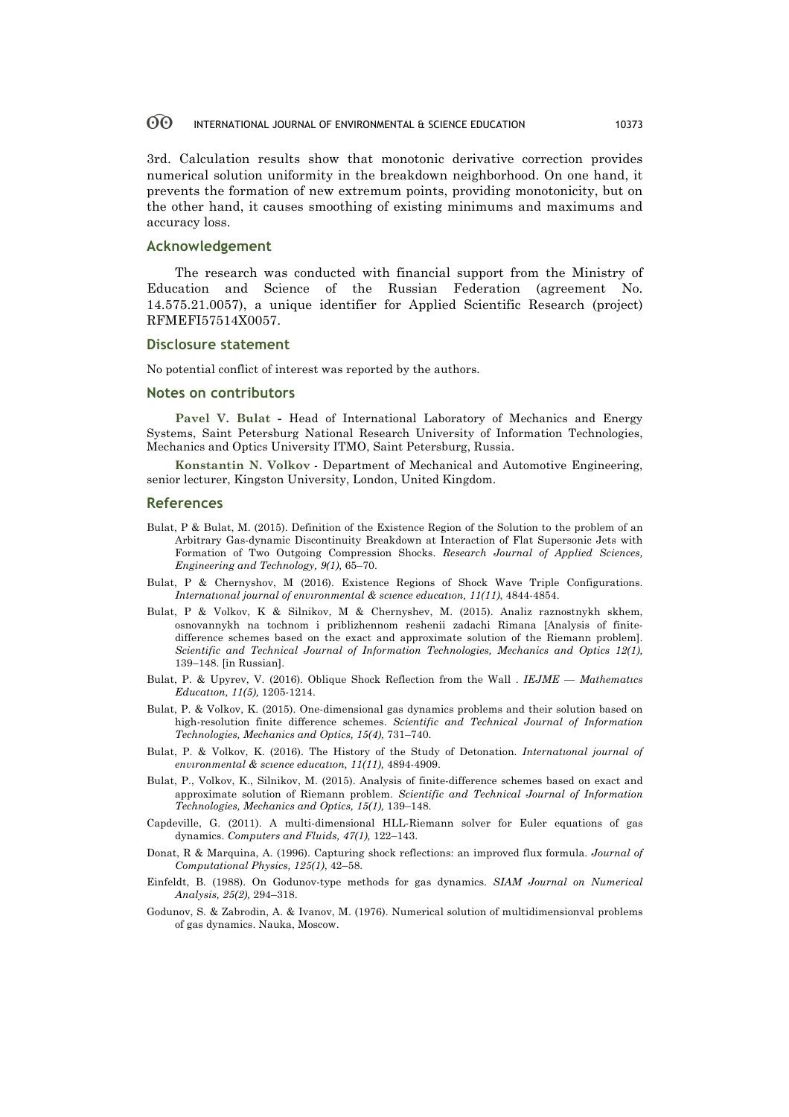#### 60 INTERNATIONAL JOURNAL OF ENVIRONMENTAL & SCIENCE EDUCATION 10373

3rd. Calculation results show that monotonic derivative correction provides numerical solution uniformity in the breakdown neighborhood. On one hand, it prevents the formation of new extremum points, providing monotonicity, but on the other hand, it causes smoothing of existing minimums and maximums and accuracy loss.

### **Acknowledgement**

The research was conducted with financial support from the Ministry of Education and Science of the Russian Federation (agreement No. 14.575.21.0057), a unique identifier for Applied Scientific Research (project) RFMEFI57514X0057.

#### **Disclosure statement**

No potential conflict of interest was reported by the authors.

#### **Notes on contributors**

**Pavel V. Bulat -** Head of International Laboratory of Mechanics and Energy Systems, Saint Petersburg National Research University of Information Technologies, Mechanics and Optics University ITMO, Saint Petersburg, Russia.

**Konstantin N. Volkov** - Department of Mechanical and Automotive Engineering, senior lecturer, Kingston University, London, United Kingdom.

## **References**

- Bulat, P & Bulat, M. (2015). Definition of the Existence Region of the Solution to the problem of an Arbitrary Gas-dynamic Discontinuity Breakdown at Interaction of Flat Supersonic Jets with Formation of Two Outgoing Compression Shocks. *Research Journal of Applied Sciences, Engineering and Technology, 9(1),* 65–70.
- Bulat, P & Chernyshov, M (2016). Existence Regions of Shock Wave Triple Configurations. *Internatıonal journal of envıronmental & scıence educatıon, 11(11)*, 4844-4854.
- Bulat, P & Volkov, K & Silnikov, M & Chernyshev, M. (2015). Analiz raznostnykh skhem, osnovannykh na tochnom i priblizhennom reshenii zadachi Rimana [Analysis of finitedifference schemes based on the exact and approximate solution of the Riemann problem]. *Scientific and Technical Journal of Information Technologies, Mechanics and Optics 12(1),*  139–148. [in Russian].
- Bulat, P. & Upyrev, V. (2016). Oblique Shock Reflection from the Wall . *IEJME — Mathematıcs Educatıon, 11(5),* 1205-1214.
- Bulat, P. & Volkov, K. (2015). One-dimensional gas dynamics problems and their solution based on high-resolution finite difference schemes. *Scientific and Technical Journal of Information Technologies, Mechanics and Optics, 15(4),* 731–740.
- Bulat, P. & Volkov, K. (2016). The History of the Study of Detonation. *Internatıonal journal of envıronmental & scıence educatıon, 11(11),* 4894-4909.
- Bulat, P., Volkov, K., Silnikov, M. (2015). Analysis of finite-difference schemes based on exact and approximate solution of Riemann problem. *Scientific and Technical Journal of Information Technologies, Mechanics and Optics, 15(1),* 139–148.
- Capdeville, G. (2011). A multi-dimensional HLL-Riemann solver for Euler equations of gas dynamics. *Computers and Fluids, 47(1),* 122–143.
- Donat, R & Marquina, A. (1996). Capturing shock reflections: an improved flux formula. *Journal of Computational Physics, 125(1)*, 42–58.
- Einfeldt, B. (1988). On Godunov-type methods for gas dynamics. *SIAM Journal on Numerical Analysis, 25(2),* 294–318.
- Godunov, S. & Zabrodin, A. & Ivanov, M. (1976). Numerical solution of multidimensionval problems of gas dynamics. Nauka, Moscow.